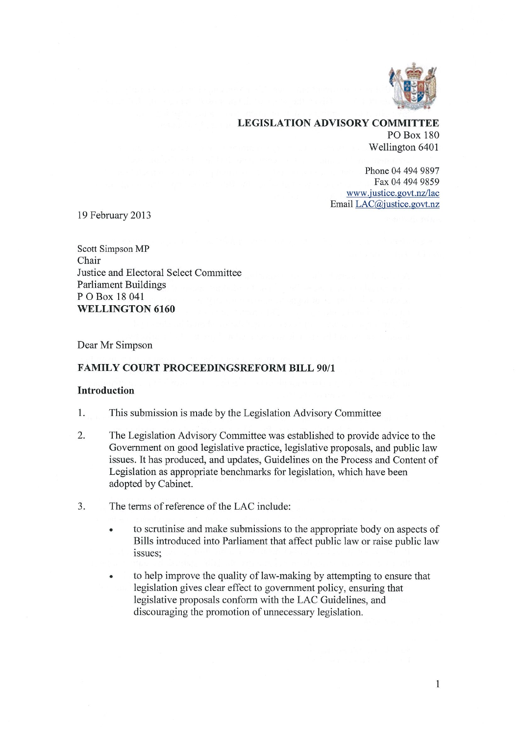

#### LEGISLATION ADVISORY COMMITTEE PO Box 180 Wellington 6401

Phone 04 494 9897 Fax 04 494 9859 www.justice.govt.nz/lac Email LAC@justice.govt.nz

19 February 2013

Scott Simpson MP Chair Justice and Electoral Select Committee Parliament Buildings P 0 Box 18 041 WELLINGTON 6160

Dear Mr Simpson

#### FAMILY COURT PROCEEDINGSREFORM BILL 90/1

#### Introduction

- 1. This submission is made by the Legislation Advisory Committee
- 2. The Legislation Advisory Committee was established to provide advice to the Government on good legislative practice, legislative proposals, and public law issues. It has produced, and updates, Guidelines on the Process and Content of Legislation as appropriate benchmarks for legislation, which have been adopted by Cabinet.
- 3. The terms of reference of the LAC include:
	- to scrutinise and make submissions to the appropriate body on aspects of Bills introduced into Parliament that affect public law or raise public law issues;
	- to help improve the quality of law-making by attempting to ensure that legislation gives clear effect to government policy, ensuring that legislative proposals conform with the LAC Guidelines, and discouraging the promotion of unnecessary legislation.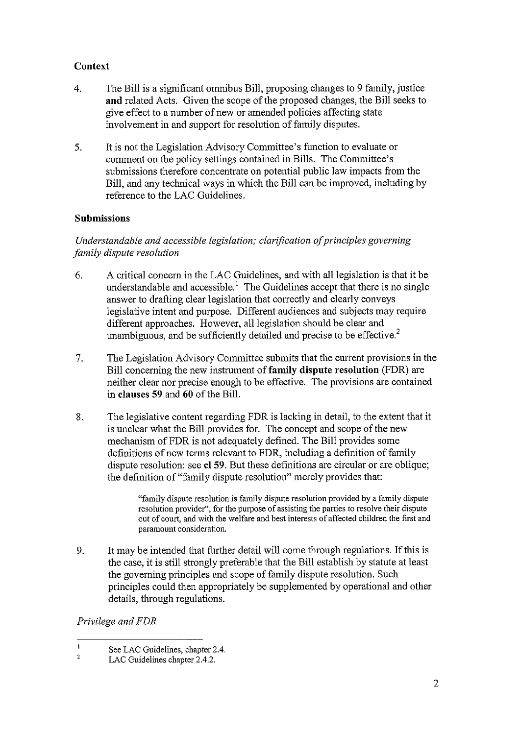# **Context**

- 4. The Bill is a significant omnibus Bill, proposing changes to 9 family, justice and related Acts. Given the scope of the proposed changes, the Bill seeks to give effect to a number of new or amended policies affecting state involvement in and support for resolution of family disputes.
- 5. It is not the Legislation Advisory Committee's function to evaluate or comment on the policy settings contained in Bills. The Committee's submissions therefore concentrate on potential public law impacts from the Bill, and any technical ways in which the Bill can be improved, including by reference to the LAC Guidelines.

### Submissions

# Understandable and accessible legislation; clarification of principles governing family dispute resolution

- 6. A critical concern in the LAC Guidelines, and with all legislation is that it be understandable and accessible.' The Guidelines accept that there is no single answer to drafting clear legislation that correctly and clearly conveys legislative intent and purpose. Different audiences and subjects may require different approaches. However, all legislation should be clear and unambiguous, and be sufficiently detailed and precise to be effective.<sup>2</sup>
- 7. The Legislation Advisory Committee submits that the current provisions in the Bill concerning the new instrument of family dispute resolution (FDR) are neither clear nor precise enough to be effective. The provisions are contained in clauses 59 and 60 of the Bill.
- 8. The legislative content regarding FDR is lacking in detail, to the extent that it is unclear what the Bill provides for. The concept and scope of the new mechanism of FDR is not adequately defined. The Bill provides some definitions of new terms relevant to FDR, including a definition of family dispute resolution: see cl 59. But these definitions are circular or are oblique; the definition of "family dispute resolution" merely provides that:

"family dispute resolution is family dispute resolution provided by a family dispute resolution provider", for the purpose of assisting the parties to resolve their dispute out of court, and with the welfare and best interests of affected children the first and paramount consideration.

9. It may be intended that further detail will come through regulations. If this is the case, it is still strongly preferable that the Bill establish by statute at least the governing principles and scope of family dispute resolution. Such principles could then appropriately be supplemented by operational and other details, through regulations.

Privilege and FDR

<sup>1</sup> See LAC Guidelines, chapter 2.4.

<sup>2</sup> LAC Guidelines chapter 2.4.2.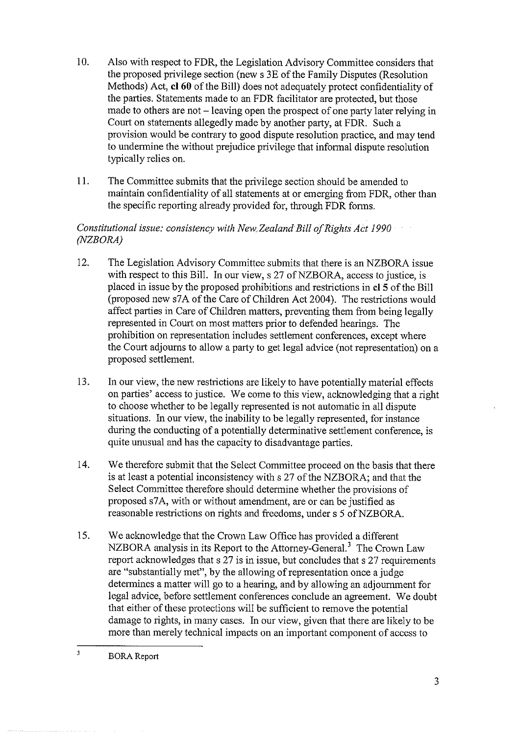- 10. Also with respect to FDR, the Legislation Advisory Committee considers that the proposed privilege section (new s 3E of the Family Disputes (Resolution Methods) Act, el 60 of the Bill) does not adequately protect confidentiality of the parties. Statements made to an FDR facilitator are protected, but those made to others are not — leaving open the prospect of one party later relying in Court on statements allegedly made by another party, at FDR. Such a provision would be contrary to good dispute resolution practice, and may tend to undermine the without prejudice privilege that informal dispute resolution typically relies on.
- 11. The Committee submits that the privilege section should be amended to maintain confidentiality of all statements at or emerging from FDR, other than the specific reporting already provided for, through FDR forms.

# Constitutional issue: consistency with New Zealand Bill of Rights Act 1990 (NZBORA)

- 12. The Legislation Advisory Committee submits that there is an NZBORA issue with respect to this Bill. In our view, s 27 of NZBORA, access to justice, is placed in issue by the proposed prohibitions and restrictions in el 5 of the Bill (proposed new s7A of the Care of Children Act 2004). The restrictions would affect parties in Care of Children matters, preventing them from being legally represented in Court on most matters prior to defended hearings. The prohibition on representation includes settlement conferences, except where the Court adjourns to allow a party to get legal advice (not representation) on a proposed settlement.
- 13. In our view, the new restrictions are likely to have potentially material effects on parties' access to justice. We come to this view, acknowledging that a right to choose whether to be legally represented is not automatic in all dispute situations. In our view, the inability to be legally represented, for instance during the conducting of a potentially determinative settlement conference, is quite unusual and has the capacity to disadvantage parties.
- 14. We therefore submit that the Select Committee proceed on the basis that there is at least a potential inconsistency with s 27 of the NZBORA; and that the Select Committee therefore should determine whether the provisions of proposed s7A, with or without amendment, are or can be justified as reasonable restrictions on rights and freedoms, under s 5 of NZBORA.
- 15. We acknowledge that the Crown Law Office has provided a different NZBORA analysis in its Report to the Attorney-General.<sup>3</sup> The Crown Law report acknowledges that s 27 is in issue, but concludes that s 27 requirements are "substantially met", by the allowing of representation once a judge determines a matter will go to a hearing, and by allowing an adjournment for legal advice, before settlement conferences conclude an agreement. We doubt that either of these protections will be sufficient to remove the potential damage to rights, in many cases. In our view, given that there are likely to be more than merely technical impacts on an important component of access to

<sup>3</sup> BORA Report